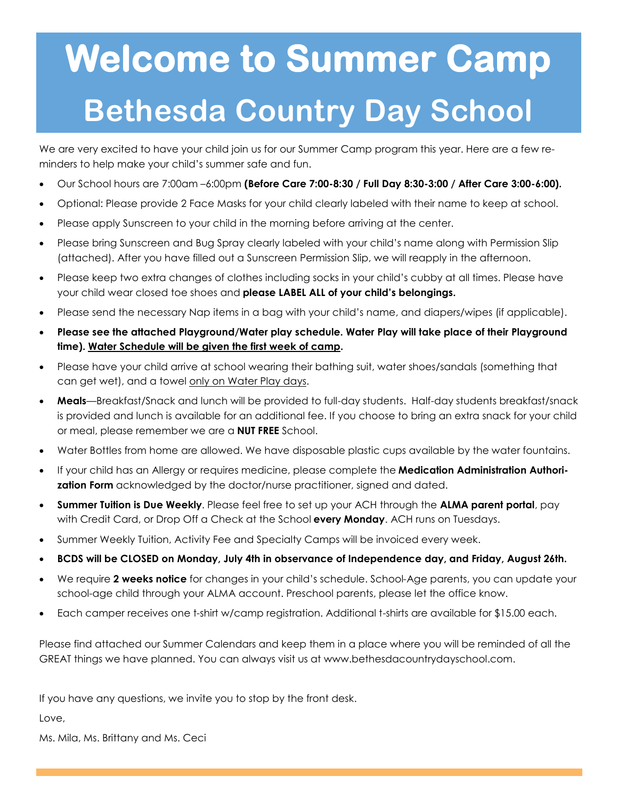# **Welcome to Summer Camp Bethesda Country Day School**

We are very excited to have your child join us for our Summer Camp program this year. Here are a few reminders to help make your child's summer safe and fun.

- Our School hours are 7:00am –6:00pm **(Before Care 7:00-8:30 / Full Day 8:30-3:00 / After Care 3:00-6:00).**
- Optional: Please provide 2 Face Masks for your child clearly labeled with their name to keep at school.
- Please apply Sunscreen to your child in the morning before arriving at the center.
- Please bring Sunscreen and Bug Spray clearly labeled with your child's name along with Permission Slip (attached). After you have filled out a Sunscreen Permission Slip, we will reapply in the afternoon.
- Please keep two extra changes of clothes including socks in your child's cubby at all times. Please have your child wear closed toe shoes and **please LABEL ALL of your child's belongings.**
- Please send the necessary Nap items in a bag with your child's name, and diapers/wipes (if applicable).
- **Please see the attached Playground/Water play schedule. Water Play will take place of their Playground time). Water Schedule will be given the first week of camp.**
- Please have your child arrive at school wearing their bathing suit, water shoes/sandals (something that can get wet), and a towel only on Water Play days.
- **Meals**—Breakfast/Snack and lunch will be provided to full-day students. Half-day students breakfast/snack is provided and lunch is available for an additional fee. If you choose to bring an extra snack for your child or meal, please remember we are a **NUT FREE** School.
- Water Bottles from home are allowed. We have disposable plastic cups available by the water fountains.
- If your child has an Allergy or requires medicine, please complete the **Medication Administration Authorization Form** acknowledged by the doctor/nurse practitioner, signed and dated.
- **Summer Tuition is Due Weekly**. Please feel free to set up your ACH through the **ALMA parent portal**, pay with Credit Card, or Drop Off a Check at the School **every Monday**. ACH runs on Tuesdays.
- Summer Weekly Tuition, Activity Fee and Specialty Camps will be invoiced every week.
- **BCDS will be CLOSED on Monday, July 4th in observance of Independence day, and Friday, August 26th.**
- We require **2 weeks notice** for changes in your child's schedule. School-Age parents, you can update your school-age child through your ALMA account. Preschool parents, please let the office know.
- Each camper receives one t-shirt w/camp registration. Additional t-shirts are available for \$15.00 each.

Please find attached our Summer Calendars and keep them in a place where you will be reminded of all the GREAT things we have planned. You can always visit us at www.bethesdacountrydayschool.com.

If you have any questions, we invite you to stop by the front desk.

Love,

Ms. Mila, Ms. Brittany and Ms. Ceci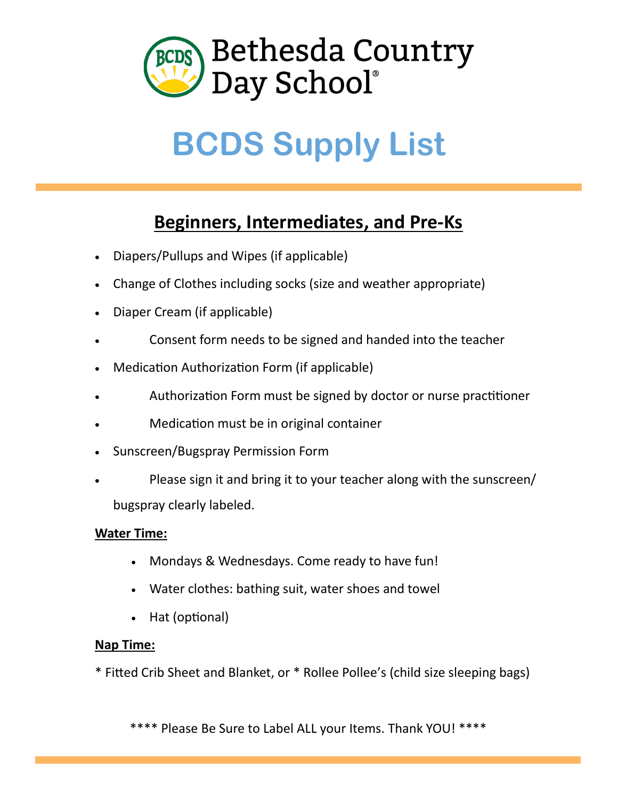

## **BCDS Supply List**

### **Beginners, Intermediates, and Pre-Ks**

- Diapers/Pullups and Wipes (if applicable)
- Change of Clothes including socks (size and weather appropriate)
- Diaper Cream (if applicable)
- Consent form needs to be signed and handed into the teacher
- Medication Authorization Form (if applicable)
- Authorization Form must be signed by doctor or nurse practitioner
- Medication must be in original container
- Sunscreen/Bugspray Permission Form
- Please sign it and bring it to your teacher along with the sunscreen/ bugspray clearly labeled.

#### **Water Time:**

- Mondays & Wednesdays. Come ready to have fun!
- Water clothes: bathing suit, water shoes and towel
- Hat (optional)

#### **Nap Time:**

\* Fitted Crib Sheet and Blanket, or \* Rollee Pollee's (child size sleeping bags)

\*\*\*\* Please Be Sure to Label ALL your Items. Thank YOU! \*\*\*\*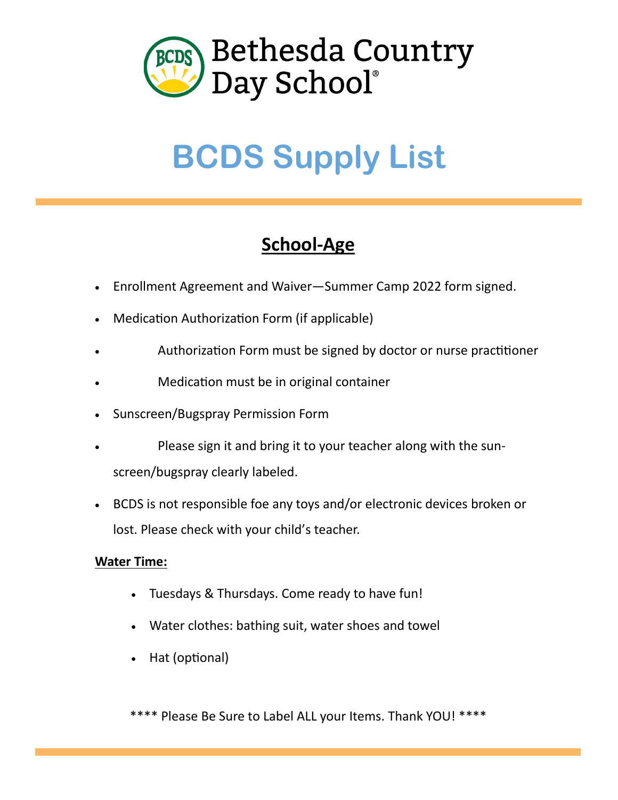

## **BCDS Supply List**

### **School-Age**

- Enrollment Agreement and Waiver—Summer Camp 2022 form signed.
- Medication Authorization Form (if applicable)
- Authorization Form must be signed by doctor or nurse practitioner
- Medication must be in original container
- Sunscreen/Bugspray Permission Form
- Please sign it and bring it to your teacher along with the sunscreen/bugspray clearly labeled.
- BCDS is not responsible foe any toys and/or electronic devices broken or lost. Please check with your child's teacher.

### **Water Time:**

- Tuesdays & Thursdays. Come ready to have fun!
- Water clothes: bathing suit, water shoes and towel
- Hat (optional)

\*\*\*\* Please Be Sure to Label ALL your Items. Thank YOU! \*\*\*\*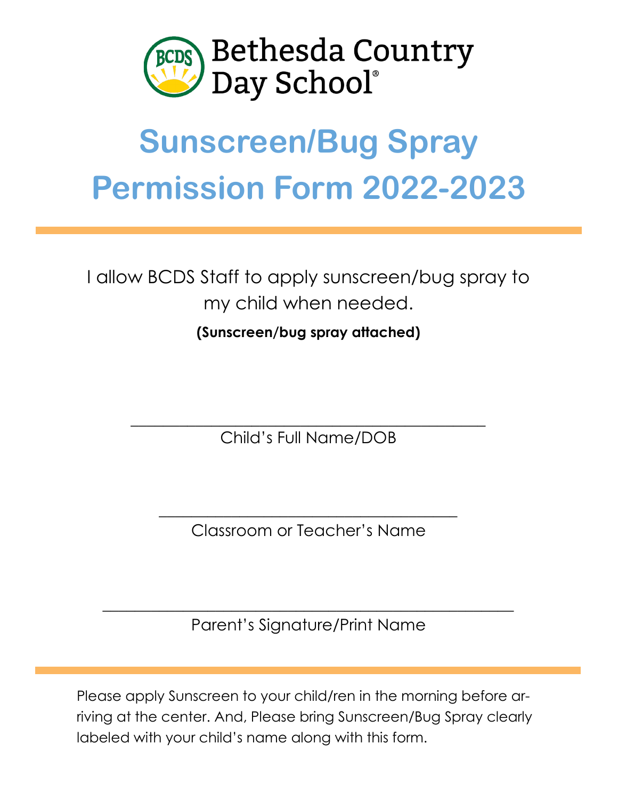

## **Sunscreen/Bug Spray Permission Form 2022-2023**

I allow BCDS Staff to apply sunscreen/bug spray to my child when needed.

**(Sunscreen/bug spray attached)**

\_\_\_\_\_\_\_\_\_\_\_\_\_\_\_\_\_\_\_\_\_\_\_\_\_\_\_\_\_\_\_\_\_\_\_\_\_\_\_\_\_\_\_\_ Child's Full Name/DOB

Classroom or Teacher's Name

\_\_\_\_\_\_\_\_\_\_\_\_\_\_\_\_\_\_\_\_\_\_\_\_\_\_\_\_\_\_\_\_\_\_\_\_\_

 $\overline{\phantom{a}}$  , and the contract of the contract of the contract of the contract of the contract of the contract of the contract of the contract of the contract of the contract of the contract of the contract of the contrac Parent's Signature/Print Name

Please apply Sunscreen to your child/ren in the morning before arriving at the center. And, Please bring Sunscreen/Bug Spray clearly labeled with your child's name along with this form.